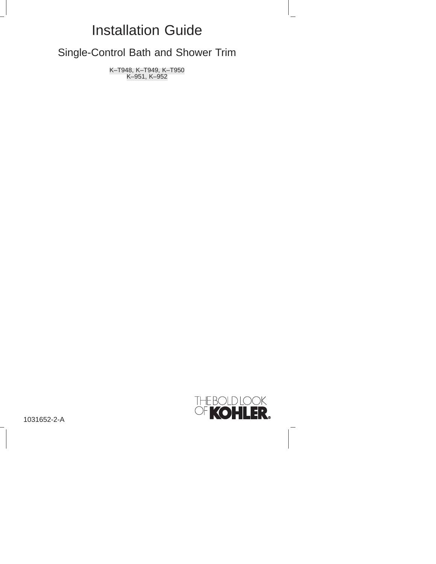## Installation Guide

Single-Control Bath and Shower Trim

K–T948, K–T949, K–T950 K–951, K–952



1031652-2-A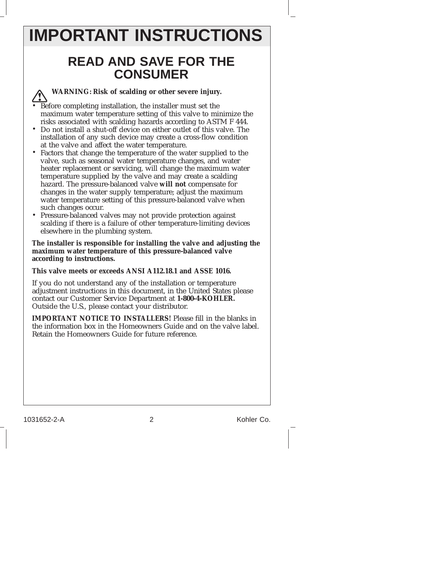# **IMPORTANT INSTRUCTIONS**

### **READ AND SAVE FOR THE CONSUMER**

**WARNING: Risk of scalding or other severe injury.**

Before completing installation, the installer must set the maximum water temperature setting of this valve to minimize the risks associated with scalding hazards according to ASTM F 444.

- Do not install a shut-off device on either outlet of this valve. The installation of any such device may create a cross-flow condition at the valve and affect the water temperature.
- Factors that change the temperature of the water supplied to the valve, such as seasonal water temperature changes, and water heater replacement or servicing, will change the maximum water temperature supplied by the valve and may create a scalding hazard. The pressure-balanced valve **will not** compensate for changes in the water supply temperature; adjust the maximum water temperature setting of this pressure-balanced valve when such changes occur.
- Pressure-balanced valves may not provide protection against scalding if there is a failure of other temperature-limiting devices elsewhere in the plumbing system.

**The installer is responsible for installing the valve and adjusting the maximum water temperature of this pressure-balanced valve according to instructions.**

#### **This valve meets or exceeds ANSI A112.18.1 and ASSE 1016.**

If you do not understand any of the installation or temperature adjustment instructions in this document, in the United States please contact our Customer Service Department at **1-800-4-KOHLER.** Outside the U.S., please contact your distributor.

**IMPORTANT NOTICE TO INSTALLERS!** Please fill in the blanks in the information box in the Homeowners Guide and on the valve label. Retain the Homeowners Guide for future reference.

1031652-2-A 2 Kohler Co.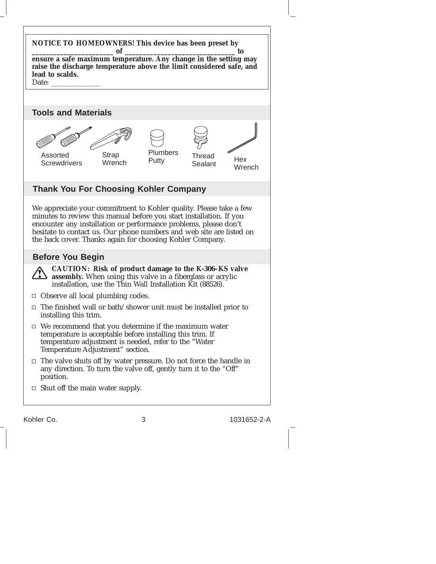

Kohler Co. 3 1031652-2-A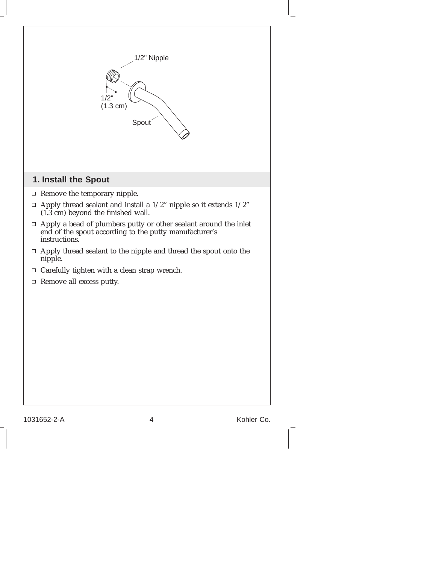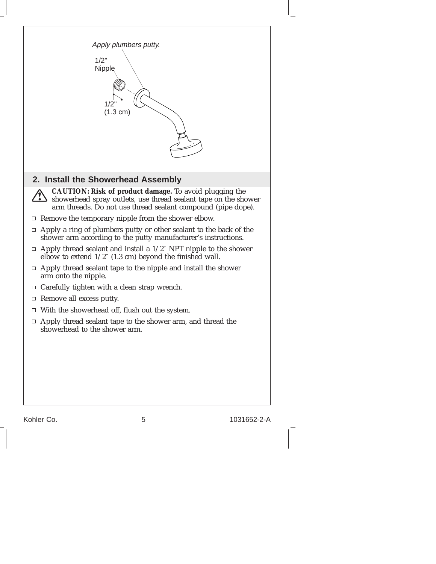

Kohler Co. 6 1031652-2-A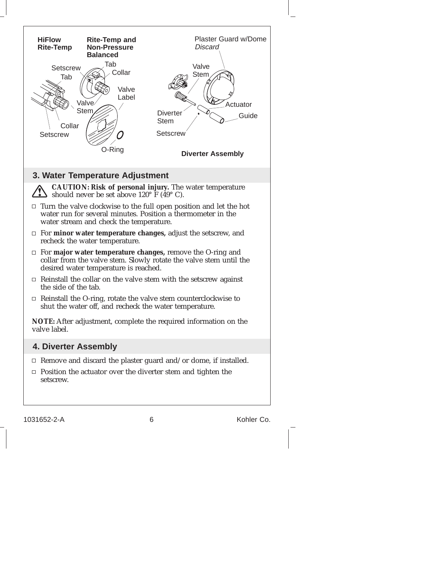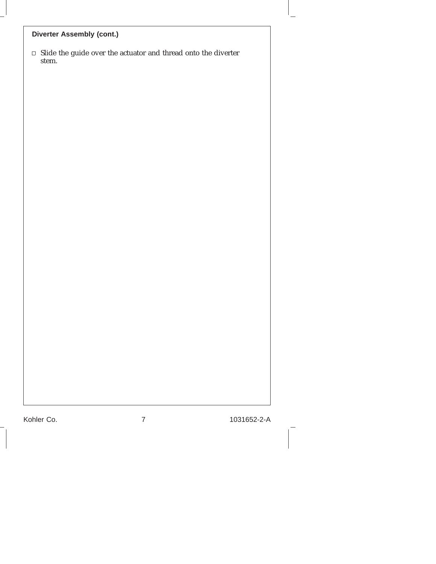#### **Diverter Assembly (cont.)**

 $\Box$  Slide the guide over the actuator and thread onto the diverter stem.

Kohler Co. 2008 7 2031652-2-A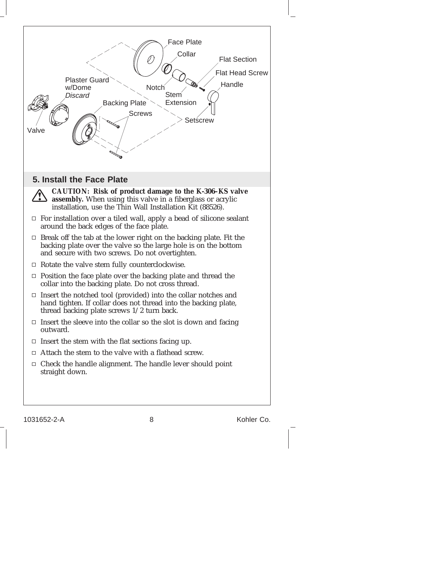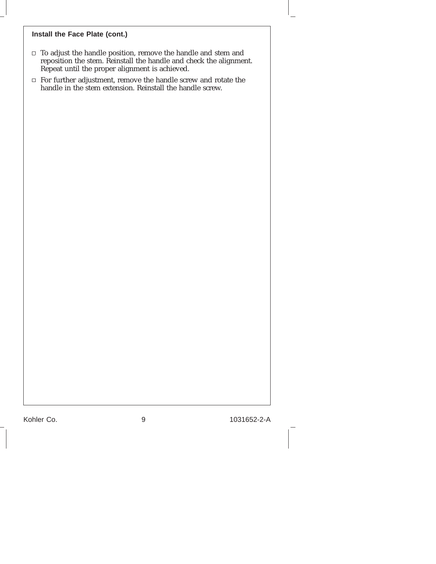#### **Install the Face Plate (cont.)**

- To adjust the handle position, remove the handle and stem and reposition the stem. Reinstall the handle and check the alignment. Repeat until the proper alignment is achieved.
- For further adjustment, remove the handle screw and rotate the handle in the stem extension. Reinstall the handle screw.

Kohler Co. 2010 1031652-2-A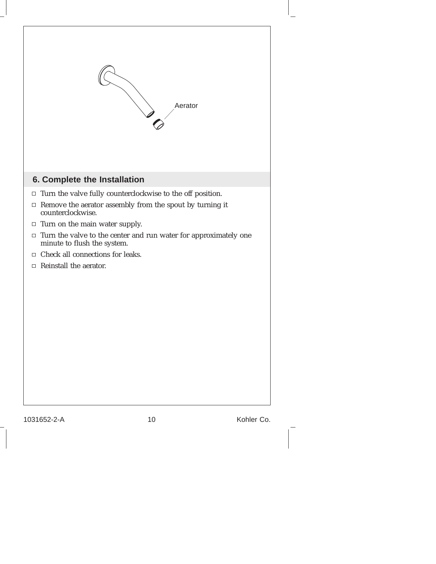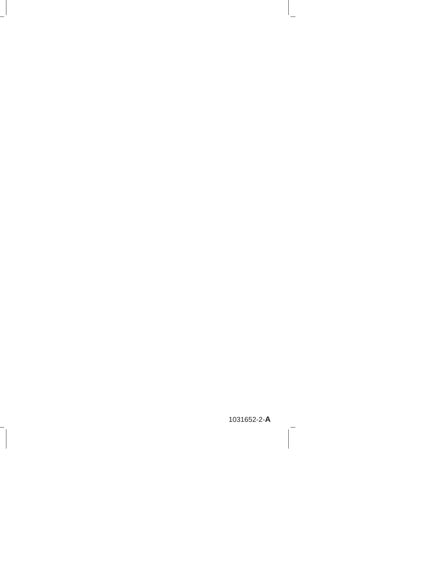1031652-2-**A**